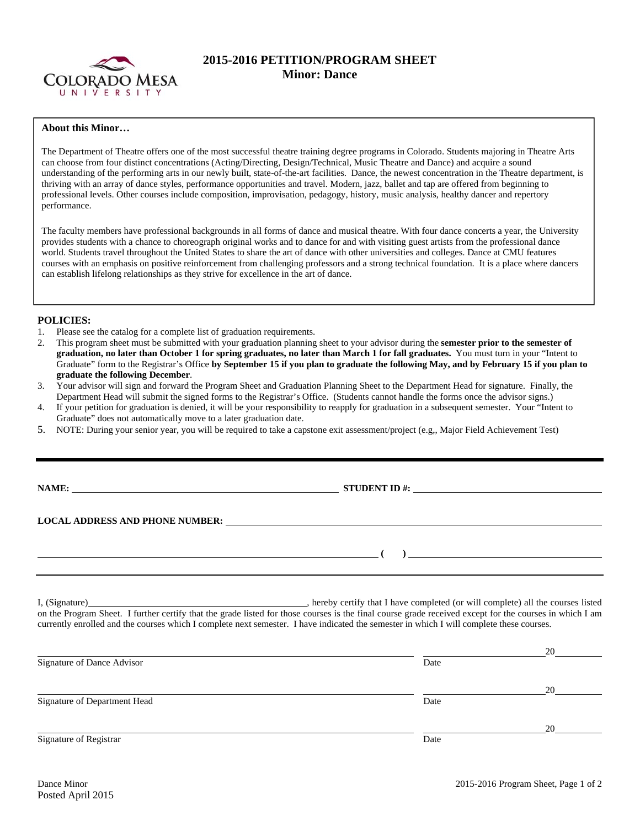

# **2015-2016 PETITION/PROGRAM SHEET Minor: Dance**

#### **About this Minor…**

The Department of Theatre offers one of the most successful theatre training degree programs in Colorado. Students majoring in Theatre Arts can choose from four distinct concentrations (Acting/Directing, Design/Technical, Music Theatre and Dance) and acquire a sound understanding of the performing arts in our newly built, state-of-the-art facilities. Dance, the newest concentration in the Theatre department, is thriving with an array of dance styles, performance opportunities and travel. Modern, jazz, ballet and tap are offered from beginning to professional levels. Other courses include composition, improvisation, pedagogy, history, music analysis, healthy dancer and repertory performance.

The faculty members have professional backgrounds in all forms of dance and musical theatre. With four dance concerts a year, the University provides students with a chance to choreograph original works and to dance for and with visiting guest artists from the professional dance world. Students travel throughout the United States to share the art of dance with other universities and colleges. Dance at CMU features courses with an emphasis on positive reinforcement from challenging professors and a strong technical foundation. It is a place where dancers can establish lifelong relationships as they strive for excellence in the art of dance.

## **POLICIES:**

- 1. Please see the catalog for a complete list of graduation requirements.
- 2. This program sheet must be submitted with your graduation planning sheet to your advisor during the **semester prior to the semester of graduation, no later than October 1 for spring graduates, no later than March 1 for fall graduates.** You must turn in your "Intent to Graduate" form to the Registrar's Office **by September 15 if you plan to graduate the following May, and by February 15 if you plan to graduate the following December**.
- 3. Your advisor will sign and forward the Program Sheet and Graduation Planning Sheet to the Department Head for signature. Finally, the Department Head will submit the signed forms to the Registrar's Office. (Students cannot handle the forms once the advisor signs.)
- 4. If your petition for graduation is denied, it will be your responsibility to reapply for graduation in a subsequent semester. Your "Intent to Graduate" does not automatically move to a later graduation date.
- 5. NOTE: During your senior year, you will be required to take a capstone exit assessment/project (e.g,, Major Field Achievement Test)

**NAME: STUDENT ID #: STUDENT ID #: STUDENT ID #: STUDENT ID #: STUDENT ID #: STUDENT ID #: STUDENT ID #: STUDENT ID #: STUDENT ID #: STUDENT ID #: STUDENT ID #: STUDENT ID #: STUDENT ID #: STUDE** 

 **(** ) <u> **(** ) **d** ( ) **d** ( ) **d** ( ) **d** ( ) **d** ( ) **d** ( ) **d** ( ) **d** ( ) **d** ( ) **d** ( ) **d** ( ) **d** ( ) **d** ( ) **d** ( ) **d** ( ) **d** ( ) **d** ( ) **d** ( ) **d** ( ) **d** ( ) **d** ( ) **d** ( ) **d** ( ) **d** ( ) **d** ( ) **d** ( )</u>

**LOCAL ADDRESS AND PHONE NUMBER:**

I, (Signature) , hereby certify that I have completed (or will complete) all the courses listed on the Program Sheet. I further certify that the grade listed for those courses is the final course grade received except for the courses in which I am currently enrolled and the courses which I complete next semester. I have indicated the semester in which I will complete these courses.

|                              |      | 20 |
|------------------------------|------|----|
| Signature of Dance Advisor   | Date |    |
|                              |      | 20 |
| Signature of Department Head | Date |    |
|                              |      | 20 |
| Signature of Registrar       | Date |    |